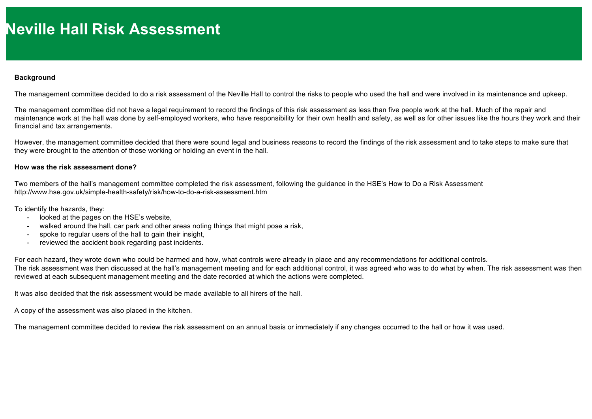## **Background**

The management committee decided to do a risk assessment of the Neville Hall to control the risks to people who used the hall and were involved in its maintenance and upkeep.

The management committee did not have a legal requirement to record the findings of this risk assessment as less than five people work at the hall. Much of the repair and maintenance work at the hall was done by self-employed workers, who have responsibility for their own health and safety, as well as for other issues like the hours they work and their financial and tax arrangements.

However, the management committee decided that there were sound legal and business reasons to record the findings of the risk assessment and to take steps to make sure that they were brought to the attention of those working or holding an event in the hall.

## **How was the risk assessment done?**

Two members of the hall's management committee completed the risk assessment, following the guidance in the HSE's How to Do a Risk Assessment http://www.hse.gov.uk/simple-health-safety/risk/how-to-do-a-risk-assessment.htm

To identify the hazards, they:

- looked at the pages on the HSE's website,
- walked around the hall, car park and other areas noting things that might pose a risk,
- spoke to regular users of the hall to gain their insight,
- reviewed the accident book regarding past incidents.

For each hazard, they wrote down who could be harmed and how, what controls were already in place and any recommendations for additional controls. The risk assessment was then discussed at the hall's management meeting and for each additional control, it was agreed who was to do what by when. The risk assessment was then reviewed at each subsequent management meeting and the date recorded at which the actions were completed.

It was also decided that the risk assessment would be made available to all hirers of the hall.

A copy of the assessment was also placed in the kitchen.

The management committee decided to review the risk assessment on an annual basis or immediately if any changes occurred to the hall or how it was used.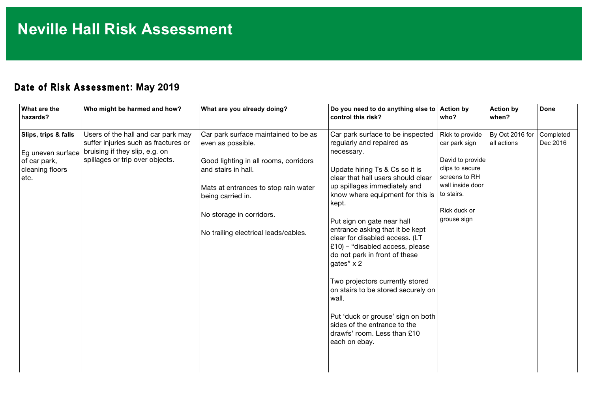## **Date of Risk Assessment: May 2019**

I

| What are the<br>hazards?                                                             | Who might be harmed and how?                                                                                                                    | What are you already doing?                                                                                                                                                                                                                                | Do you need to do anything else to Action by<br>control this risk?                                                                                                                                                                                                                                                                                                                                                                                                                                                                                                                                                                        | who?                                                                                                                                        | <b>Action by</b><br>when?      | <b>Done</b>           |
|--------------------------------------------------------------------------------------|-------------------------------------------------------------------------------------------------------------------------------------------------|------------------------------------------------------------------------------------------------------------------------------------------------------------------------------------------------------------------------------------------------------------|-------------------------------------------------------------------------------------------------------------------------------------------------------------------------------------------------------------------------------------------------------------------------------------------------------------------------------------------------------------------------------------------------------------------------------------------------------------------------------------------------------------------------------------------------------------------------------------------------------------------------------------------|---------------------------------------------------------------------------------------------------------------------------------------------|--------------------------------|-----------------------|
| Slips, trips & falls<br>Eg uneven surface<br>of car park,<br>cleaning floors<br>etc. | Users of the hall and car park may<br>suffer injuries such as fractures or<br>bruising if they slip, e.g. on<br>spillages or trip over objects. | Car park surface maintained to be as<br>even as possible.<br>Good lighting in all rooms, corridors<br>and stairs in hall.<br>Mats at entrances to stop rain water<br>being carried in.<br>No storage in corridors.<br>No trailing electrical leads/cables. | Car park surface to be inspected<br>regularly and repaired as<br>necessary.<br>Update hiring Ts & Cs so it is<br>clear that hall users should clear<br>up spillages immediately and<br>know where equipment for this is   to stairs.<br>kept.<br>Put sign on gate near hall<br>entrance asking that it be kept<br>clear for disabled access. (LT<br>£10) - "disabled access, please<br>do not park in front of these<br>gates" x 2<br>Two projectors currently stored<br>on stairs to be stored securely on<br>wall.<br>Put 'duck or grouse' sign on both<br>sides of the entrance to the<br>drawfs' room. Less than £10<br>each on ebay. | Rick to provide<br>car park sign<br>David to provide<br>clips to secure<br>screens to RH<br>wall inside door<br>Rick duck or<br>grouse sign | By Oct 2016 for<br>all actions | Completed<br>Dec 2016 |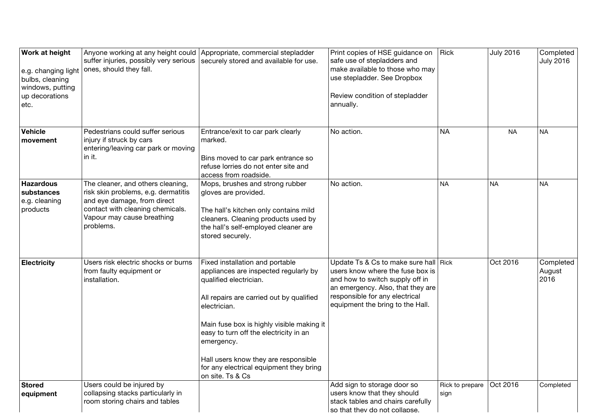| <b>Work at height</b><br>e.g. changing light<br>bulbs, cleaning<br>windows, putting<br>up decorations<br>etc. | suffer injuries, possibly very serious<br>ones, should they fall.                                                                                                                      | Anyone working at any height could Appropriate, commercial stepladder<br>securely stored and available for use.                                                                                                                                                                                                                                                            | Print copies of HSE guidance on<br>safe use of stepladders and<br>make available to those who may<br>use stepladder. See Dropbox<br>Review condition of stepladder<br>annually.                                         | <b>Rick</b>             | <b>July 2016</b> | Completed<br><b>July 2016</b> |
|---------------------------------------------------------------------------------------------------------------|----------------------------------------------------------------------------------------------------------------------------------------------------------------------------------------|----------------------------------------------------------------------------------------------------------------------------------------------------------------------------------------------------------------------------------------------------------------------------------------------------------------------------------------------------------------------------|-------------------------------------------------------------------------------------------------------------------------------------------------------------------------------------------------------------------------|-------------------------|------------------|-------------------------------|
| Vehicle<br>movement                                                                                           | Pedestrians could suffer serious<br>injury if struck by cars<br>entering/leaving car park or moving<br>in it.                                                                          | Entrance/exit to car park clearly<br>marked.<br>Bins moved to car park entrance so<br>refuse lorries do not enter site and<br>access from roadside.                                                                                                                                                                                                                        | No action.                                                                                                                                                                                                              | <b>NA</b>               | <b>NA</b>        | <b>NA</b>                     |
| <b>Hazardous</b><br>substances<br>e.g. cleaning<br>products                                                   | The cleaner, and others cleaning,<br>risk skin problems, e.g. dermatitis<br>and eye damage, from direct<br>contact with cleaning chemicals.<br>Vapour may cause breathing<br>problems. | Mops, brushes and strong rubber<br>gloves are provided.<br>The hall's kitchen only contains mild<br>cleaners. Cleaning products used by<br>the hall's self-employed cleaner are<br>stored securely.                                                                                                                                                                        | No action.                                                                                                                                                                                                              | <b>NA</b>               | <b>NA</b>        | <b>NA</b>                     |
| <b>Electricity</b>                                                                                            | Users risk electric shocks or burns<br>from faulty equipment or<br>installation.                                                                                                       | Fixed installation and portable<br>appliances are inspected regularly by<br>qualified electrician.<br>All repairs are carried out by qualified<br>electrician.<br>Main fuse box is highly visible making it<br>easy to turn off the electricity in an<br>emergency.<br>Hall users know they are responsible<br>for any electrical equipment they bring<br>on site. Ts & Cs | Update Ts & Cs to make sure hall Rick<br>users know where the fuse box is<br>and how to switch supply off in<br>an emergency. Also, that they are<br>responsible for any electrical<br>equipment the bring to the Hall. |                         | Oct 2016         | Completed<br>August<br>2016   |
| Stored<br>equipment                                                                                           | Users could be injured by<br>collapsing stacks particularly in<br>room storing chairs and tables                                                                                       |                                                                                                                                                                                                                                                                                                                                                                            | Add sign to storage door so<br>users know that they should<br>stack tables and chairs carefully<br>so that they do not collapse.                                                                                        | Rick to prepare<br>sign | Oct 2016         | Completed                     |